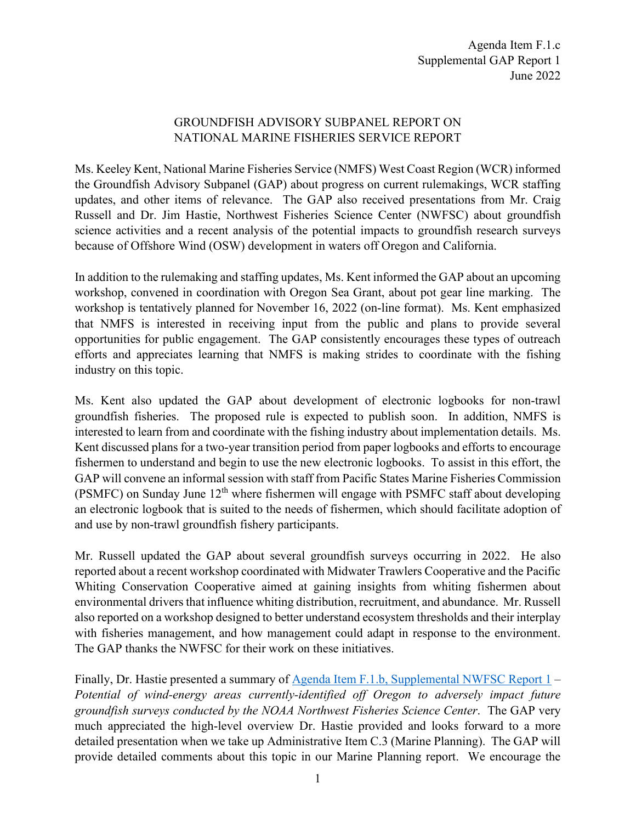## GROUNDFISH ADVISORY SUBPANEL REPORT ON NATIONAL MARINE FISHERIES SERVICE REPORT

Ms. Keeley Kent, National Marine Fisheries Service (NMFS) West Coast Region (WCR) informed the Groundfish Advisory Subpanel (GAP) about progress on current rulemakings, WCR staffing updates, and other items of relevance. The GAP also received presentations from Mr. Craig Russell and Dr. Jim Hastie, Northwest Fisheries Science Center (NWFSC) about groundfish science activities and a recent analysis of the potential impacts to groundfish research surveys because of Offshore Wind (OSW) development in waters off Oregon and California.

In addition to the rulemaking and staffing updates, Ms. Kent informed the GAP about an upcoming workshop, convened in coordination with Oregon Sea Grant, about pot gear line marking. The workshop is tentatively planned for November 16, 2022 (on-line format). Ms. Kent emphasized that NMFS is interested in receiving input from the public and plans to provide several opportunities for public engagement. The GAP consistently encourages these types of outreach efforts and appreciates learning that NMFS is making strides to coordinate with the fishing industry on this topic.

Ms. Kent also updated the GAP about development of electronic logbooks for non-trawl groundfish fisheries. The proposed rule is expected to publish soon. In addition, NMFS is interested to learn from and coordinate with the fishing industry about implementation details. Ms. Kent discussed plans for a two-year transition period from paper logbooks and efforts to encourage fishermen to understand and begin to use the new electronic logbooks. To assist in this effort, the GAP will convene an informal session with staff from Pacific States Marine Fisheries Commission (PSMFC) on Sunday June  $12<sup>th</sup>$  where fishermen will engage with PSMFC staff about developing an electronic logbook that is suited to the needs of fishermen, which should facilitate adoption of and use by non-trawl groundfish fishery participants.

Mr. Russell updated the GAP about several groundfish surveys occurring in 2022. He also reported about a recent workshop coordinated with Midwater Trawlers Cooperative and the Pacific Whiting Conservation Cooperative aimed at gaining insights from whiting fishermen about environmental drivers that influence whiting distribution, recruitment, and abundance. Mr. Russell also reported on a workshop designed to better understand ecosystem thresholds and their interplay with fisheries management, and how management could adapt in response to the environment. The GAP thanks the NWFSC for their work on these initiatives.

Finally, Dr. Hastie presented a summary of [Agenda Item F.1.b, Supplemental NWFSC Report 1](https://www.pcouncil.org/documents/2022/06/f-1-b-supplemental-nwfsc-report-1-potential-of-wind-energy-areas-currently-identified-off-oregon-to-adversely-impact-future-groundfish-surveys-conducted-by-the-noaa-northwest-fisheries-science.pdf/) – *Potential of wind-energy areas currently-identified off Oregon to adversely impact future groundfish surveys conducted by the NOAA Northwest Fisheries Science Center*. The GAP very much appreciated the high-level overview Dr. Hastie provided and looks forward to a more detailed presentation when we take up Administrative Item C.3 (Marine Planning). The GAP will provide detailed comments about this topic in our Marine Planning report. We encourage the